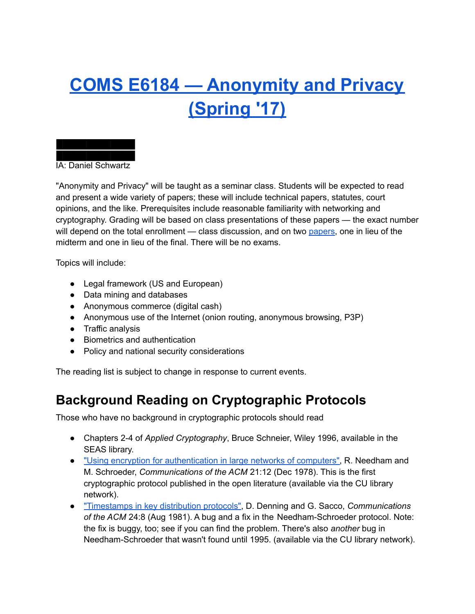# **COMS E6184 — [Anonymity](https://www.cs.columbia.edu/~smb/classes/s17/) and Privacy [\(Spring](https://www.cs.columbia.edu/~smb/classes/s17/) '17)**



"Anonymity and Privacy" will be taught as a seminar class. Students will be expected to read and present a wide variety of papers; these will include technical papers, statutes, court opinions, and the like. Prerequisites include reasonable familiarity with networking and cryptography. Grading will be based on class presentations of these papers — the exact number will depend on the total enrollment — class discussion, and on two [papers,](https://www.cs.columbia.edu/~smb/classes/s17/papers.html) one in lieu of the midterm and one in lieu of the final. There will be no exams.

Topics will include:

- Legal framework (US and European)
- Data mining and databases
- Anonymous commerce (digital cash)
- Anonymous use of the Internet (onion routing, anonymous browsing, P3P)
- Traffic analysis
- Biometrics and authentication
- Policy and national security considerations

The reading list is subject to change in response to current events.

### **Background Reading on Cryptographic Protocols**

Those who have no background in cryptographic protocols should read

- Chapters 2-4 of *Applied Cryptography*, Bruce Schneier, Wiley 1996, available in the SEAS library.
- "Using encryption for [authentication](http://doi.acm.org/10.1145/359657.359659) in large networks of computers", R. Needham and M. Schroeder, *Communications of the ACM* 21:12 (Dec 1978). This is the first cryptographic protocol published in the open literature (available via the CU library network).
- ["Timestamps](http://doi.acm.org/10.1145/358722.358740) in key distribution protocols", D. Denning and G. Sacco, *Communications of the ACM* 24:8 (Aug 1981). A bug and a fix in the Needham-Schroeder protocol. Note: the fix is buggy, too; see if you can find the problem. There's also *another* bug in Needham-Schroeder that wasn't found until 1995. (available via the CU library network).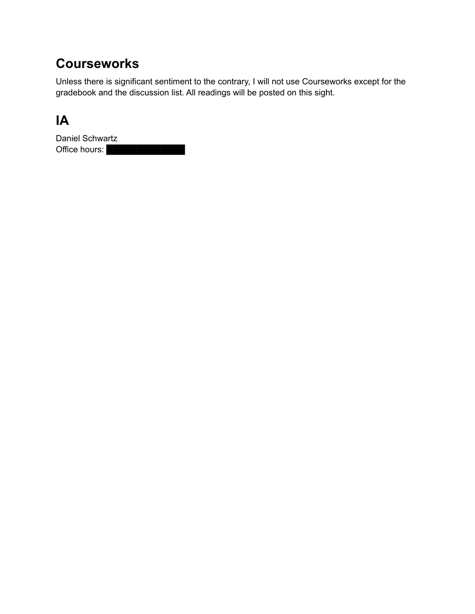## **Courseworks**

Unless there is significant sentiment to the contrary, I will not use Courseworks except for the gradebook and the discussion list. All readings will be posted on this sight.

## **IA**

Daniel Schwartz Office hours: **Konstantine and Portion**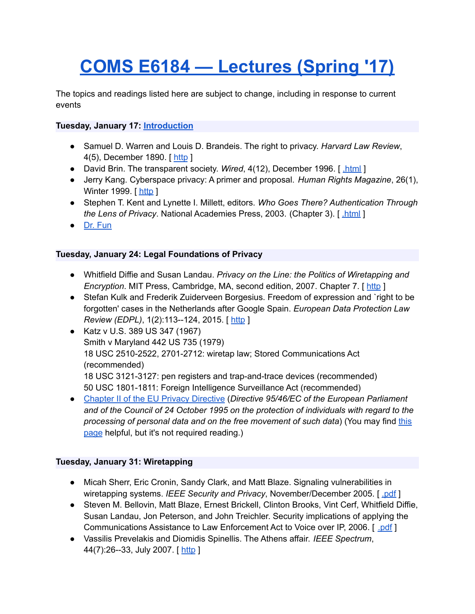# **COMS E6184 — [Lectures](https://www.cs.columbia.edu/~smb/classes/s17/lectures.html) (Spring '17)**

The topics and readings listed here are subject to change, including in response to current events

#### **Tuesday, January 17: [Introduction](https://www.cs.columbia.edu/~smb/classes/s17/l_intro.pdf)**

- Samuel D. Warren and Louis D. Brandeis. The right to privacy. *Harvard Law Review*, 4(5), December 1890. [ [http](https://www.jstor.org/stable/1321160) ]
- David Brin. The transparent society. *Wired*, 4(12), December 1996. [*html*]
- Jerry Kang. Cyberspace privacy: A primer and proposal. *Human Rights Magazine*, 26(1), Winter 1999. [ [http](http://heinonline.org/HOL/LandingPage?handle=hein.journals/huri26&div=6&id=&page=) ]
- Stephen T. Kent and Lynette I. Millett, editors. *Who Goes There? Authentication Through the Lens of Privacy*. National Academies Press, 2003. (Chapter 3). [ [.html](http://www.nap.edu/catalog/10656.html) ]
- Dr. [Fun](http://www.ibiblio.org/Dave/Dr-Fun/df200601/df20060116.jpg)

#### **Tuesday, January 24: Legal Foundations of Privacy**

- Whitfield Diffie and Susan Landau. *Privacy on the Line: the Politics of Wiretapping and Encryption*. MIT Press, Cambridge, MA, second edition, 2007. Chapter 7. [ [http](https://www.dropbox.com/s/rnkqcak89lkuor8/5572.pdf?dl=0) ]
- Stefan Kulk and Frederik Zuiderveen Borgesius. Freedom of expression and `right to be forgotten' cases in the Netherlands after Google Spain. *European Data Protection Law Review (EDPL)*, 1(2):113--124, 2015. [ [http](http://heinonline.org/HOL/Page?handle=hein.journals/edpl1&collection=journals&id=127) ]
- Katz v U.S. 389 US 347 (1967) Smith v Maryland 442 US 735 (1979) 18 USC 2510-2522, 2701-2712: wiretap law; Stored Communications Act (recommended) 18 USC 3121-3127: pen registers and trap-and-trace devices (recommended) 50 USC 1801-1811: Foreign Intelligence Surveillance Act (recommended)
- Chapter II of the EU Privacy [Directive](https://www.cdt.org/files/privacy/eudirective/EU_Directive_.html#HD_NM_2) (*Directive 95/46/EC of the European Parliament and of the Council of 24 October 1995 on the protection of individuals with regard to the processing of personal data and on the free movement of such data*) (You may find [this](http://www.cdt.org/privacy/eudirective) [page](http://www.cdt.org/privacy/eudirective) helpful, but it's not required reading.)

#### **Tuesday, January 31: Wiretapping**

- Micah Sherr, Eric Cronin, Sandy Clark, and Matt Blaze. Signaling vulnerabilities in wiretapping systems. *IEEE Security and Privacy*, November/December 2005. [ [.pdf](http://crypto.com/papers/wiretap.pdf) ]
- Steven M. Bellovin, Matt Blaze, Ernest Brickell, Clinton Brooks, Vint Cerf, Whitfield Diffie, Susan Landau, Jon Peterson, and John Treichler. Security implications of applying the Communications Assistance to Law Enforcement Act to Voice over IP, 2006. [ [.pdf](https://www.cs.columbia.edu/~smb/papers/CALEAVOIPreport.pdf) ]
- Vassilis Prevelakis and Diomidis Spinellis. The Athens affair. *IEEE Spectrum*, 44(7):26--33, July 2007. [[http](http://spectrum.ieee.org/telecom/security/the-athens-affair/0) ]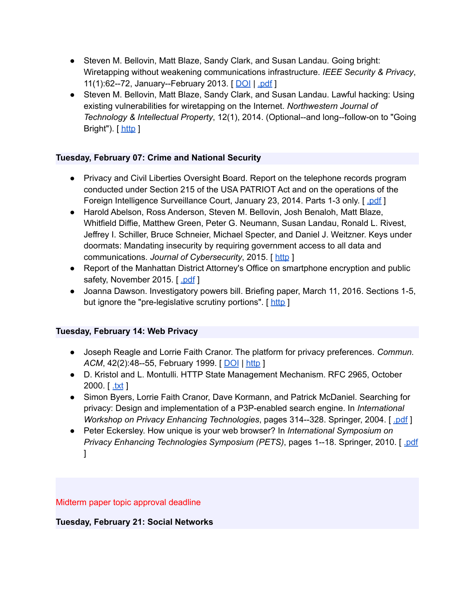- Steven M. Bellovin, Matt Blaze, Sandy Clark, and Susan Landau. Going bright: Wiretapping without weakening communications infrastructure. *IEEE Security & Privacy*, 11(1):62--72, January--February 2013. [ [DOI](http://dx.doi.org/10.1109/MSP.2012.138) | [.pdf](https://www.cs.columbia.edu/~smb/papers/GoingBright.pdf) ]
- Steven M. Bellovin, Matt Blaze, Sandy Clark, and Susan Landau. Lawful hacking: Using existing vulnerabilities for wiretapping on the Internet. *Northwestern Journal of Technology & Intellectual Property*, 12(1), 2014. (Optional--and long--follow-on to "Going Bright"). [ [http](http://scholarlycommons.law.northwestern.edu/njtip/vol12/iss1/1/) ]

#### **Tuesday, February 07: Crime and National Security**

- Privacy and Civil Liberties Oversight Board. Report on the telephone records program conducted under Section 215 of the USA PATRIOT Act and on the operations of the Foreign Intelligence Surveillance Court, January 23, 2014. Parts 1-3 only. [ [.pdf](https://pclob.gov/library/215-Report_on_the_Telephone_Records_Program.pdf) ]
- Harold Abelson, Ross Anderson, Steven M. Bellovin, Josh Benaloh, Matt Blaze, Whitfield Diffie, Matthew Green, Peter G. Neumann, Susan Landau, Ronald L. Rivest, Jeffrey I. Schiller, Bruce Schneier, Michael Specter, and Daniel J. Weitzner. Keys under doormats: Mandating insecurity by requiring government access to all data and communications. *Journal of Cybersecurity*, 2015. [ [http](http://cybersecurity.oxfordjournals.org/content/1/1/69) ]
- Report of the Manhattan District Attorney's Office on smartphone encryption and public safety, November 2015. [ [.pdf](http://manhattanda.org/sites/default/files/11.18.15%20Report%20on%20Smartphone%20Encryption%20and%20Public%20Safety.pdf) ]
- Joanna Dawson. Investigatory powers bill. Briefing paper, March 11, 2016. Sections 1-5, but ignore the "pre-legislative scrutiny portions". [[http](http://researchbriefings.parliament.uk/ResearchBriefing/Summary/CBP-7518#fullreport)]

#### **Tuesday, February 14: Web Privacy**

- Joseph Reagle and Lorrie Faith Cranor. The platform for privacy preferences. *Commun. ACM*, 42(2):48--55, February 1999. [ [DOI](http://dx.doi.org/10.1145/293411.293455) | [http](http://doi.acm.org/10.1145/293411.293455) ]
- D. Kristol and L. Montulli. HTTP State Management Mechanism. RFC 2965, October 2000. [ [.txt](http://www.rfc-editor.org/rfc/rfc2965.txt) ]
- Simon Byers, Lorrie Faith Cranor, Dave Kormann, and Patrick McDaniel. Searching for privacy: Design and implementation of a P3P-enabled search engine. In *International Workshop on Privacy Enhancing Technologies*, pages 314--328. Springer, 2004. [ [.pdf](http://www.patrickmcdaniel.org/pubs/pets04.pdf) ]
- Peter Eckersley. How unique is your web browser? In *International Symposium on Privacy Enhancing Technologies Symposium (PETS)*, pages 1--18. Springer, 2010. [ [.pdf](https://www.freehaven.net/anonbib/cache/pets2010:eckersley2010unique.pdf) ]

Midterm paper topic approval deadline

**Tuesday, February 21: Social Networks**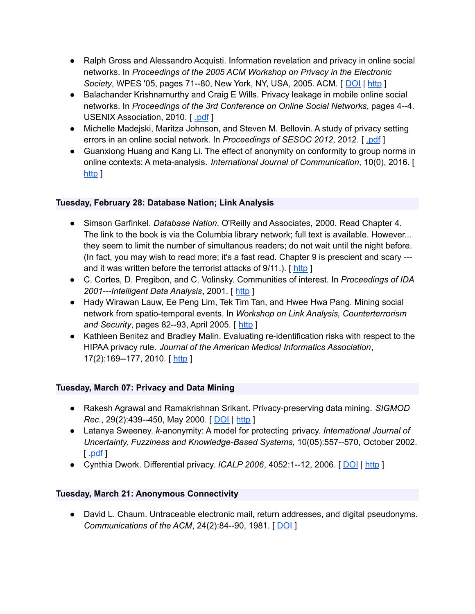- Ralph Gross and Alessandro Acquisti. Information revelation and privacy in online social networks. In *Proceedings of the 2005 ACM Workshop on Privacy in the Electronic Society*, WPES '05, pages 71--80, New York, NY, USA, 2005. ACM. [  $\overline{DOI}$  $\overline{DOI}$  $\overline{DOI}$  | [http](http://doi.acm.org/10.1145/1102199.1102214) ]
- Balachander Krishnamurthy and Craig E Wills. Privacy leakage in mobile online social networks. In *Proceedings of the 3rd Conference on Online Social Networks*, pages 4--4. USENIX Association, 2010. [ [.pdf](http://web.cs.wpi.edu/~cew/papers/wosn10.pdf) ]
- Michelle Madejski, Maritza Johnson, and Steven M. Bellovin. A study of privacy setting errors in an online social network. In *Proceedings of SESOC 2012*, 2012. [ [.pdf](https://www.cs.columbia.edu/~smb/papers/fb-violations-sesoc.pdf) ]
- Guanxiong Huang and Kang Li. The effect of anonymity on conformity to group norms in online contexts: A meta-analysis. *International Journal of Communication*, 10(0), 2016. [ [http](http://ijoc.org/index.php/ijoc/article/view/4037) 1

#### **Tuesday, February 28: Database Nation; Link Analysis**

- Simson Garfinkel. *Database Nation*. O'Reilly and Associates, 2000. Read Chapter 4. The link to the book is via the Columbia library network; full text is available. However... they seem to limit the number of simultanous readers; do not wait until the night before. (In fact, you may wish to read more; it's a fast read. Chapter 9 is prescient and scary -- and it was written before the terrorist attacks of  $9/11$ .). [[http](https://clio.columbia.edu/catalog/4249665) ]
- C. Cortes, D. Pregibon, and C. Volinsky. Communities of interest. In *Proceedings of IDA 2001---Intelligent Data Analysis*, 2001. [ [http](http://rd8hp6du2b.scholar.serialssolutions.com/?sid=google&auinit=C&aulast=Cortes&atitle=Communities+of+interest&title=Intelligent+data+analysis&volume=6&issue=3&date=2002&spage=211&issn=1088-467X) ]
- Hady Wirawan Lauw, Ee Peng Lim, Tek Tim Tan, and Hwee Hwa Pang. Mining social network from spatio-temporal events. In *Workshop on Link Analysis, Counterterrorism and Security*, pages 82--93, April 2005. [ [http](http://ink.library.smu.edu.sg/sis_research/1138) ]
- Kathleen Benitez and Bradley Malin. Evaluating re-identification risks with respect to the HIPAA privacy rule. *Journal of the American Medical Informatics Association*, 17(2):169--177, 2010. [[http](https://academic.oup.com/jamia/article/17/2/169/809345/Evaluating-re-identification-risks-with-respect-to) ]

#### **Tuesday, March 07: Privacy and Data Mining**

- Rakesh Agrawal and Ramakrishnan Srikant. Privacy-preserving data mining. *SIGMOD Rec.*, 29(2):439--450, May 2000. [ [DOI](http://dx.doi.org/10.1145/335191.335438) | [http](http://doi.acm.org/10.1145/335191.335438) ]
- Latanya Sweeney. *k*-anonymity: A model for protecting privacy. *International Journal of Uncertainty, Fuzziness and Knowledge-Based Systems*, 10(05):557--570, October 2002.  $\lceil$  [.pdf](http://www.cs.pomona.edu/~sara/classes/cs190-fall12/k-anonymity.pdf)  $\rceil$
- Cynthia Dwork. Differential privacy. *ICALP* 2006, 4052:1--12, 2006. [[DOI](http://dx.doi.org/10.1007/11787006_1) | [http](http://link.springer.com/chapter/10.1007/11787006_1) ]

#### **Tuesday, March 21: Anonymous Connectivity**

● David L. Chaum. Untraceable electronic mail, return addresses, and digital pseudonyms. *Communications of the ACM*, 24(2):84--90, 1981. [ [DOI](http://doi.acm.org/10.1145/358549.358563) ]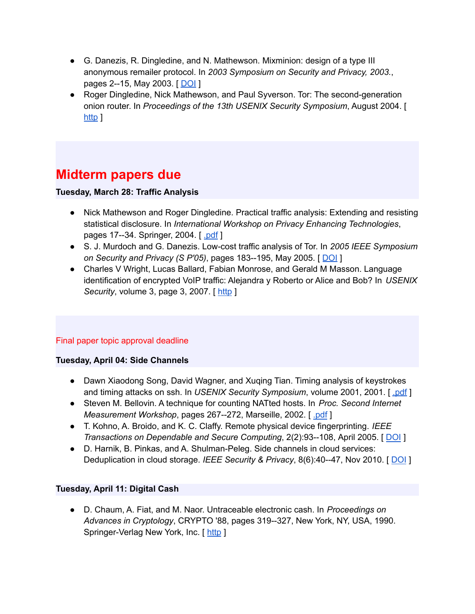- G. Danezis, R. Dingledine, and N. Mathewson. Mixminion: design of a type III anonymous remailer protocol. In *2003 Symposium on Security and Privacy, 2003.*, pages 2--15, May 2003. [ [DOI](http://dx.doi.org/10.1109/SECPRI.2003.1199323) ]
- Roger Dingledine, Nick Mathewson, and Paul Syverson. Tor: The second-generation onion router. In *Proceedings of the 13th USENIX Security Symposium*, August 2004. [ [http](http://static.usenix.org/legacy/events/sec04/tech/full_papers/dingledine/dingledine_html/) ]

### **Midterm papers due**

#### **Tuesday, March 28: Traffic Analysis**

- Nick Mathewson and Roger Dingledine. Practical traffic analysis: Extending and resisting statistical disclosure. In *International Workshop on Privacy Enhancing Technologies*, pages 17--34. Springer, 2004. [ [.pdf](https://crysp.uwaterloo.ca/courses/pet/F07/cache/freehaven.net/doc/e2e-traffic/e2e-traffic.pdf) ]
- S. J. Murdoch and G. Danezis. Low-cost traffic analysis of Tor. In *2005 IEEE Symposium on Security and Privacy (S P'05)*, pages 183--195, May 2005. [ [DOI](http://dx.doi.org/10.1109/SP.2005.12) ]
- Charles V Wright, Lucas Ballard, Fabian Monrose, and Gerald M Masson. Language identification of encrypted VoIP traffic: Alejandra y Roberto or Alice and Bob? In *USENIX Security*, volume 3, page 3, 2007. [ [http](http://static.usenix.org/events/sec07/tech/full_papers/wright/wright_html/) ]

#### Final paper topic approval deadline

#### **Tuesday, April 04: Side Channels**

- Dawn Xiaodong Song, David Wagner, and Xuqing Tian. Timing analysis of keystrokes and timing attacks on ssh. In *USENIX Security Symposium*, volume 2001, 2001. [ [.pdf](https://www.usenix.org/legacy/events/sec2001/full_papers/song/song.pdf) ]
- Steven M. Bellovin. A technique for counting NATted hosts. In *Proc. Second Internet Measurement Workshop*, pages 267--272, Marseille, 2002. [ [.pdf](https://www.cs.columbia.edu/~smb/papers/fnat.pdf) ]
- T. Kohno, A. Broido, and K. C. Claffy. Remote physical device fingerprinting. *IEEE Transactions on Dependable and Secure Computing*, 2(2):93--108, April 2005. [ [DOI](http://dx.doi.org/10.1109/TDSC.2005.26) ]
- D. Harnik, B. Pinkas, and A. Shulman-Peleg. Side channels in cloud services: Deduplication in cloud storage. *IEEE Security & Privacy*, 8(6):40--47, Nov 2010. [ [DOI](http://dx.doi.org/10.1109/MSP.2010.187) ]

#### **Tuesday, April 11: Digital Cash**

● D. Chaum, A. Fiat, and M. Naor. Untraceable electronic cash. In *Proceedings on Advances in Cryptology*, CRYPTO '88, pages 319--327, New York, NY, USA, 1990. Springer-Verlag New York, Inc. [ [http](http://dl.acm.org/citation.cfm?id=88314.88969) ]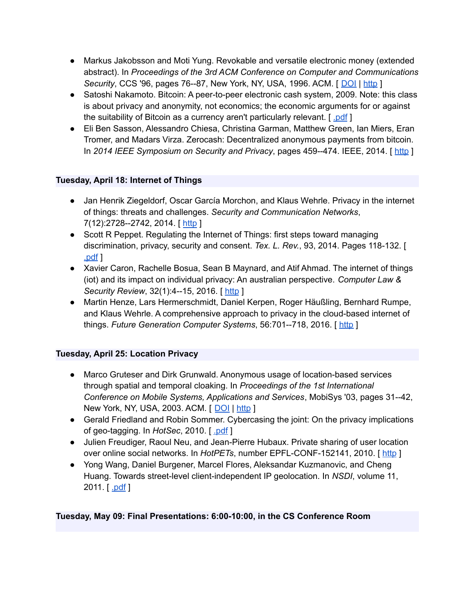- Markus Jakobsson and Moti Yung. Revokable and versatile electronic money (extended abstract). In *Proceedings of the 3rd ACM Conference on Computer and Communications Security*, CCS '96, pages 76--87, New York, NY, USA, 1996. ACM. [ **[DOI](http://dx.doi.org/10.1145/238168.238191)** | [http](http://doi.acm.org/10.1145/238168.238191) ]
- Satoshi Nakamoto. Bitcoin: A peer-to-peer electronic cash system, 2009. Note: this class is about privacy and anonymity, not economics; the economic arguments for or against the suitability of Bitcoin as a currency aren't particularly relevant. [ [.pdf](https://bitcoin.org/bitcoin.pdf) ]
- Eli Ben Sasson, Alessandro Chiesa, Christina Garman, Matthew Green, Ian Miers, Eran Tromer, and Madars Virza. Zerocash: Decentralized anonymous payments from bitcoin. In *2014 IEEE Symposium on Security and Privacy*, pages 459--474. IEEE, 2014. [ [http](http://ieeexplore.ieee.org/document/6956581/?arnumber=6956581) ]

#### **Tuesday, April 18: Internet of Things**

- Jan Henrik Ziegeldorf, Oscar García Morchon, and Klaus Wehrle. Privacy in the internet of things: threats and challenges. *Security and Communication Networks*, 7(12):2728--2742, 2014. [[http](http://onlinelibrary.wiley.com/doi/10.1002/sec.795/full) ]
- Scott R Peppet. Regulating the Internet of Things: first steps toward managing discrimination, privacy, security and consent. *Tex. L. Rev.*, 93, 2014. Pages 118-132. [ [.pdf](http://www.texaslrev.com/wp-content/uploads/2015/08/Peppet-93-1.pdf) ]
- Xavier Caron, Rachelle Bosua, Sean B Maynard, and Atif Ahmad. The internet of things (iot) and its impact on individual privacy: An australian perspective. *Computer Law & Security Review*, 32(1):4--15, 2016. [ [http](http://www.sciencedirect.com/science/article/pii/S0267364915001661) ]
- Martin Henze, Lars Hermerschmidt, Daniel Kerpen, Roger Häußling, Bernhard Rumpe, and Klaus Wehrle. A comprehensive approach to privacy in the cloud-based internet of things. *Future Generation Computer Systems*, 56:701--718, 2016. [ [http](http://www.sciencedirect.com/science/article/pii/S0167739X15002964) ]

#### **Tuesday, April 25: Location Privacy**

- Marco Gruteser and Dirk Grunwald. Anonymous usage of location-based services through spatial and temporal cloaking. In *Proceedings of the 1st International Conference on Mobile Systems, Applications and Services*, MobiSys '03, pages 31--42, New York, NY, USA, 2003. ACM. [ [DOI](http://dx.doi.org/10.1145/1066116.1189037) | [http](http://doi.acm.org/10.1145/1066116.1189037) ]
- Gerald Friedland and Robin Sommer. Cybercasing the joint: On the privacy implications of geo-tagging. In *HotSec*, 2010. [ [.pdf](https://www.usenix.org/legacy/events/hotsec10/tech/full_papers/Friedland.pdf) ]
- Julien Freudiger, Raoul Neu, and Jean-Pierre Hubaux. Private sharing of user location over online social networks. In *HotPETs*, number EPFL-CONF-152141, 2010. [ [http](https://infoscience.epfl.ch/record/152141) ]
- Yong Wang, Daniel Burgener, Marcel Flores, Aleksandar Kuzmanovic, and Cheng Huang. Towards street-level client-independent IP geolocation. In *NSDI*, volume 11, 2011. [ [.pdf](https://www.usenix.org/legacy/events/nsdi11/tech/full_papers/Wang_Yong.pdf) ]

#### **Tuesday, May 09: Final Presentations: 6:00-10:00, in the CS Conference Room**